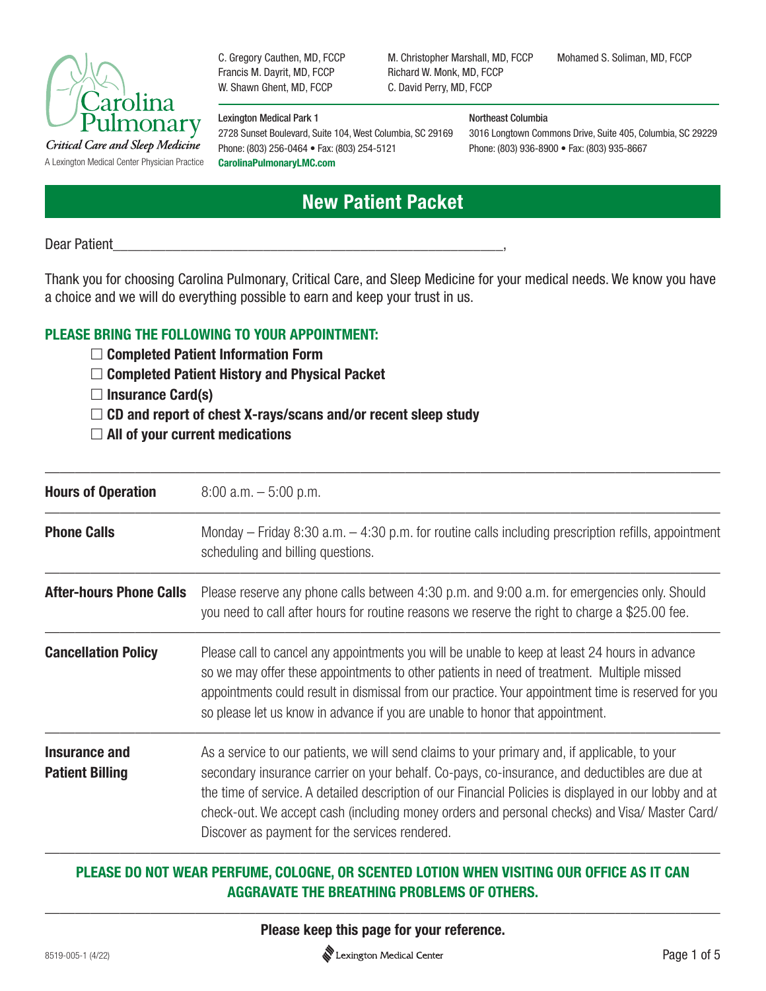

C. Gregory Cauthen, MD, FCCP Francis M. Dayrit, MD, FCCP W. Shawn Ghent, MD, FCCP

#### Lexington Medical Park 1

2728 Sunset Boulevard, Suite 104, West Columbia, SC 29169 Phone: (803) 256-0464 • Fax: (803) 254-5121

#### M. Christopher Marshall, MD, FCCP Richard W. Monk, MD, FCCP C. David Perry, MD, FCCP

Mohamed S. Soliman, MD, FCCP

#### Northeast Columbia

3016 Longtown Commons Drive, Suite 405, Columbia, SC 29229 Phone: (803) 936-8900 • Fax: (803) 935-8667

# **New Patient Packet**

Dear Patient

Thank you for choosing Carolina Pulmonary, Critical Care, and Sleep Medicine for your medical needs. We know you have a choice and we will do everything possible to earn and keep your trust in us.

## **PLEASE BRING THE FOLLOWING TO YOUR APPOINTMENT:**

- **Completed Patient Information Form**
- **Completed Patient History and Physical Packet**
- **Insurance Card(s)**
- **CD and report of chest X-rays/scans and/or recent sleep study**
- **All of your current medications**

| $8:00$ a.m. $-5:00$ p.m.                                                                                                                                                                                                                                                                                                                                                                                                                                    |
|-------------------------------------------------------------------------------------------------------------------------------------------------------------------------------------------------------------------------------------------------------------------------------------------------------------------------------------------------------------------------------------------------------------------------------------------------------------|
| Monday – Friday 8:30 a.m. $-$ 4:30 p.m. for routine calls including prescription refills, appointment<br>scheduling and billing questions.                                                                                                                                                                                                                                                                                                                  |
| Please reserve any phone calls between 4:30 p.m. and 9:00 a.m. for emergencies only. Should<br>you need to call after hours for routine reasons we reserve the right to charge a \$25.00 fee.                                                                                                                                                                                                                                                               |
| Please call to cancel any appointments you will be unable to keep at least 24 hours in advance<br>so we may offer these appointments to other patients in need of treatment. Multiple missed<br>appointments could result in dismissal from our practice. Your appointment time is reserved for you<br>so please let us know in advance if you are unable to honor that appointment.                                                                        |
| As a service to our patients, we will send claims to your primary and, if applicable, to your<br>secondary insurance carrier on your behalf. Co-pays, co-insurance, and deductibles are due at<br>the time of service. A detailed description of our Financial Policies is displayed in our lobby and at<br>check-out. We accept cash (including money orders and personal checks) and Visa/ Master Card/<br>Discover as payment for the services rendered. |
|                                                                                                                                                                                                                                                                                                                                                                                                                                                             |

# **PLEASE DO NOT WEAR PERFUME, COLOGNE, OR SCENTED LOTION WHEN VISITING OUR OFFICE AS IT CAN AGGRAVATE THE BREATHING PROBLEMS OF OTHERS.**

————————————————————————————————————————————— **Please keep this page for your reference.**

Lexington Medical Center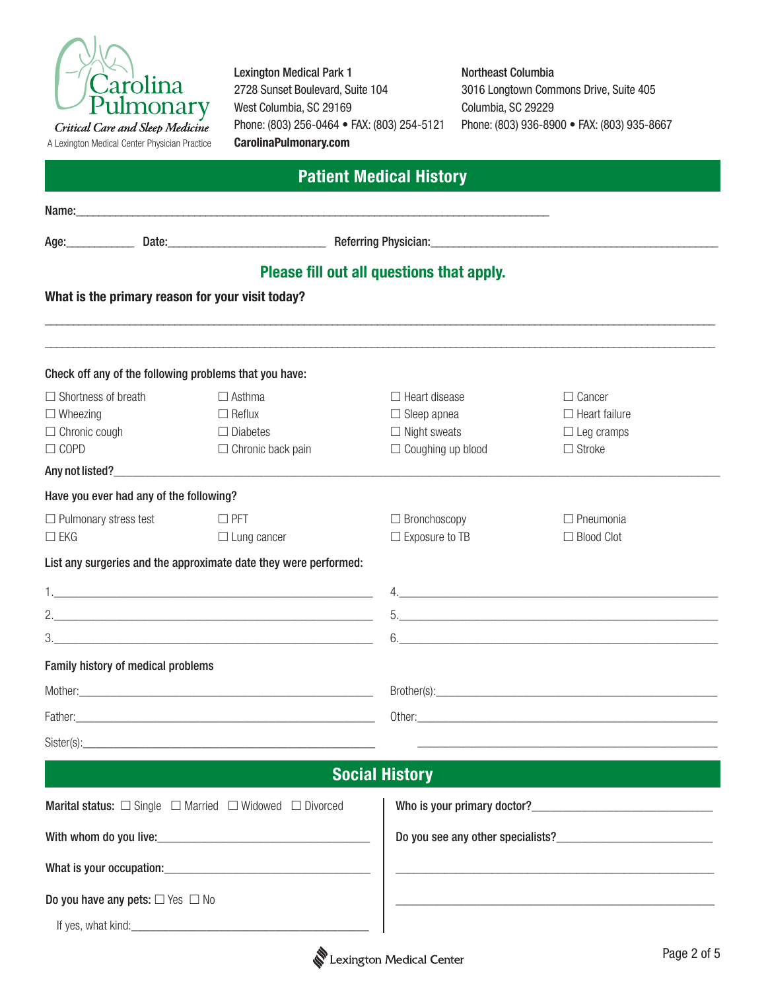

A Lexington Medical Center Physician Practice

Lexington Medical Park 1 2728 Sunset Boulevard, Suite 104 West Columbia, SC 29169 Phone: (803) 256-0464 • FAX: (803) 254-5121 **CarolinaPulmonary.com**

#### Northeast Columbia

3016 Longtown Commons Drive, Suite 405 Columbia, SC 29229 Phone: (803) 936-8900 • FAX: (803) 935-8667

| <b>Patient Medical History</b>      |                                            |                                                                  |                                                                                                                                                                                                                                     |                                    |  |
|-------------------------------------|--------------------------------------------|------------------------------------------------------------------|-------------------------------------------------------------------------------------------------------------------------------------------------------------------------------------------------------------------------------------|------------------------------------|--|
|                                     |                                            |                                                                  |                                                                                                                                                                                                                                     |                                    |  |
| Age: _______________                |                                            |                                                                  | Date: <u>Communications of Actering Physician:</u> Contract Contract Contract Contract Contract Contract Contract Contract Contract Contract Contract Contract Contract Contract Contract Contract Contract Contract Contract Contr |                                    |  |
|                                     |                                            |                                                                  | Please fill out all questions that apply.                                                                                                                                                                                           |                                    |  |
|                                     |                                            | What is the primary reason for your visit today?                 |                                                                                                                                                                                                                                     |                                    |  |
|                                     |                                            | Check off any of the following problems that you have:           |                                                                                                                                                                                                                                     |                                    |  |
| $\Box$ Shortness of breath          |                                            | $\Box$ Asthma                                                    | $\Box$ Heart disease                                                                                                                                                                                                                | $\Box$ Cancer                      |  |
| $\Box$ Wheezing                     |                                            | $\Box$ Reflux<br>$\Box$ Diabetes                                 | $\Box$ Sleep apnea<br>$\Box$ Night sweats                                                                                                                                                                                           | $\Box$ Heart failure               |  |
| $\Box$ Chronic cough<br>$\Box$ COPD |                                            | $\Box$ Chronic back pain                                         | $\Box$ Coughing up blood                                                                                                                                                                                                            | $\Box$ Leg cramps<br>$\Box$ Stroke |  |
|                                     |                                            |                                                                  |                                                                                                                                                                                                                                     |                                    |  |
|                                     | Have you ever had any of the following?    |                                                                  |                                                                                                                                                                                                                                     |                                    |  |
| $\Box$ Pulmonary stress test        |                                            | $\square$ PFT                                                    | $\Box$ Bronchoscopy                                                                                                                                                                                                                 | $\Box$ Pneumonia                   |  |
| $\Box$ EKG                          |                                            | $\Box$ Lung cancer                                               | $\Box$ Exposure to TB                                                                                                                                                                                                               | $\Box$ Blood Clot                  |  |
|                                     |                                            | List any surgeries and the approximate date they were performed: |                                                                                                                                                                                                                                     |                                    |  |
|                                     |                                            |                                                                  |                                                                                                                                                                                                                                     |                                    |  |
|                                     |                                            |                                                                  |                                                                                                                                                                                                                                     |                                    |  |
|                                     |                                            |                                                                  |                                                                                                                                                                                                                                     |                                    |  |
|                                     | Family history of medical problems         |                                                                  |                                                                                                                                                                                                                                     |                                    |  |
|                                     |                                            |                                                                  |                                                                                                                                                                                                                                     |                                    |  |
|                                     |                                            |                                                                  | Other:                                                                                                                                                                                                                              |                                    |  |
|                                     |                                            | Sister(s): <u>Contract Communication</u>                         |                                                                                                                                                                                                                                     |                                    |  |
|                                     |                                            |                                                                  | <b>Social History</b>                                                                                                                                                                                                               |                                    |  |
|                                     |                                            | <b>Marital status:</b> □ Single □ Married □ Widowed □ Divorced   |                                                                                                                                                                                                                                     |                                    |  |
|                                     |                                            |                                                                  |                                                                                                                                                                                                                                     |                                    |  |
|                                     |                                            | What is your occupation:                                         |                                                                                                                                                                                                                                     |                                    |  |
|                                     | Do you have any pets: $\Box$ Yes $\Box$ No |                                                                  |                                                                                                                                                                                                                                     |                                    |  |
|                                     |                                            |                                                                  |                                                                                                                                                                                                                                     |                                    |  |
|                                     |                                            |                                                                  |                                                                                                                                                                                                                                     |                                    |  |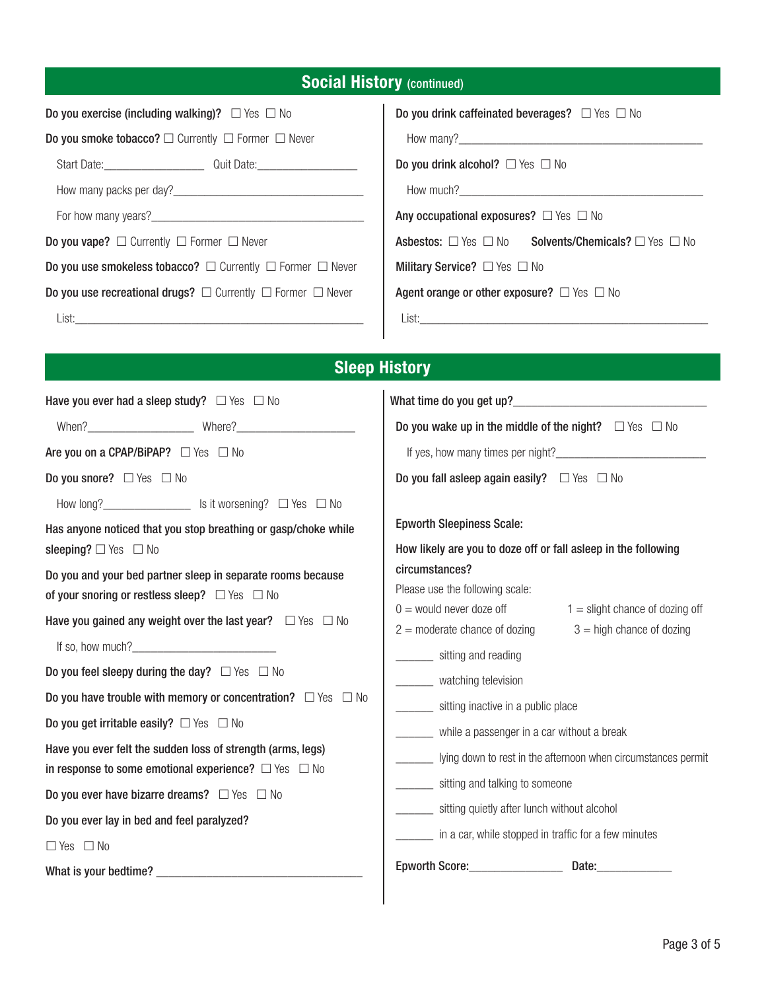| <b>Social History (continued)</b> |
|-----------------------------------|
|-----------------------------------|

|  |  | Do you exercise (including walking)? $\Box$ Yes $\Box$ No |  |
|--|--|-----------------------------------------------------------|--|
|  |  |                                                           |  |

Do you smoke tobacco?  $\Box$  Currently  $\Box$  Former  $\Box$  Never

Start Date:\_\_\_\_\_\_\_\_\_\_\_\_\_\_\_\_ Quit Date:\_\_\_\_\_\_\_\_\_\_\_\_\_\_\_\_

How many packs per day?\_\_\_\_\_\_\_\_\_\_\_\_\_\_\_\_\_\_\_\_\_\_\_\_\_\_\_\_\_\_\_

For how many years?\_\_\_\_\_\_\_\_\_\_\_\_\_\_\_\_\_\_\_\_\_\_\_\_\_\_\_\_\_\_\_\_\_\_

Do you vape?  $\square$  Currently  $\square$  Former  $\square$  Never

Do you use smokeless tobacco?  $\Box$  Currently  $\Box$  Former  $\Box$  Never

Do you use recreational drugs?  $\Box$  Currently  $\Box$  Former  $\Box$  Never

List:\_\_\_\_\_\_\_\_\_\_\_\_\_\_\_\_\_\_\_\_\_\_\_\_\_\_\_\_\_\_\_\_\_\_\_\_\_\_\_\_\_\_\_\_\_\_\_

| Do you drink caffeinated beverages? $\Box$ Yes $\Box$ No |  |  |
|----------------------------------------------------------|--|--|
|----------------------------------------------------------|--|--|

How many?  $\frac{1}{2}$  How many?

Do you drink alcohol?  $\Box$  Yes  $\Box$  No

How much?\_\_\_\_\_\_\_\_\_\_\_\_\_\_\_\_\_\_\_\_\_\_\_\_\_\_\_\_\_\_\_\_\_\_\_\_\_\_\_

Any occupational exposures?  $\Box$  Yes  $\Box$  No

Asbestos:  $\Box$  Yes  $\Box$  No Solvents/Chemicals?  $\Box$  Yes  $\Box$  No

Military Service?  $\Box$  Yes  $\Box$  No

Agent orange or other exposure?  $\Box$  Yes  $\Box$  No

List:\_\_\_\_\_\_\_\_\_\_\_\_\_\_\_\_\_\_\_\_\_\_\_\_\_\_\_\_\_\_\_\_\_\_\_\_\_\_\_\_\_\_\_\_\_\_\_

# **Sleep History**

| Have you ever had a sleep study? $\Box$ Yes $\Box$ No                                                                                                                                                                                                                                                                                                                                                                                                                                                                                                                             |                                                                                                                                                                                                                                                                                                                                                                                                                                                                |  |  |
|-----------------------------------------------------------------------------------------------------------------------------------------------------------------------------------------------------------------------------------------------------------------------------------------------------------------------------------------------------------------------------------------------------------------------------------------------------------------------------------------------------------------------------------------------------------------------------------|----------------------------------------------------------------------------------------------------------------------------------------------------------------------------------------------------------------------------------------------------------------------------------------------------------------------------------------------------------------------------------------------------------------------------------------------------------------|--|--|
|                                                                                                                                                                                                                                                                                                                                                                                                                                                                                                                                                                                   | Do you wake up in the middle of the night? $\Box$ Yes $\Box$ No                                                                                                                                                                                                                                                                                                                                                                                                |  |  |
| Are you on a CPAP/BiPAP? $\Box$ Yes $\Box$ No                                                                                                                                                                                                                                                                                                                                                                                                                                                                                                                                     |                                                                                                                                                                                                                                                                                                                                                                                                                                                                |  |  |
| Do you snore? $\Box$ Yes $\Box$ No                                                                                                                                                                                                                                                                                                                                                                                                                                                                                                                                                | Do you fall asleep again easily? $\Box$ Yes $\Box$ No                                                                                                                                                                                                                                                                                                                                                                                                          |  |  |
| How long?___________________ Is it worsening? □ Yes □ No                                                                                                                                                                                                                                                                                                                                                                                                                                                                                                                          |                                                                                                                                                                                                                                                                                                                                                                                                                                                                |  |  |
| Has anyone noticed that you stop breathing or gasp/choke while<br>sleeping? $\Box$ Yes $\Box$ No                                                                                                                                                                                                                                                                                                                                                                                                                                                                                  | <b>Epworth Sleepiness Scale:</b><br>How likely are you to doze off or fall asleep in the following                                                                                                                                                                                                                                                                                                                                                             |  |  |
| Do you and your bed partner sleep in separate rooms because<br>of your snoring or restless sleep? $\Box$ Yes $\Box$ No<br>Have you gained any weight over the last year? $\Box$ Yes $\Box$ No<br>Do you feel sleepy during the day? $\Box$ Yes $\Box$ No<br>Do you have trouble with memory or concentration? $\Box$ Yes $\Box$ No<br>Do you get irritable easily? $\Box$ Yes $\Box$ No<br>Have you ever felt the sudden loss of strength (arms, legs)<br>in response to some emotional experience? $\Box$ Yes $\Box$ No<br>Do you ever have bizarre dreams? $\Box$ Yes $\Box$ No | circumstances?<br>Please use the following scale:<br>$0 =$ would never doze off<br>$1 =$ slight chance of dozing off<br>$2 =$ moderate chance of dozing<br>$3 =$ high chance of dozing<br>_________ sitting and reading<br>_______ watching television<br>________ sitting inactive in a public place<br>_______ while a passenger in a car without a break<br>lying down to rest in the afternoon when circumstances permit<br>sitting and talking to someone |  |  |
| Do you ever lay in bed and feel paralyzed?<br>$\Box$ Yes $\Box$ No                                                                                                                                                                                                                                                                                                                                                                                                                                                                                                                | _______ sitting quietly after lunch without alcohol<br>in a car, while stopped in traffic for a few minutes                                                                                                                                                                                                                                                                                                                                                    |  |  |
|                                                                                                                                                                                                                                                                                                                                                                                                                                                                                                                                                                                   |                                                                                                                                                                                                                                                                                                                                                                                                                                                                |  |  |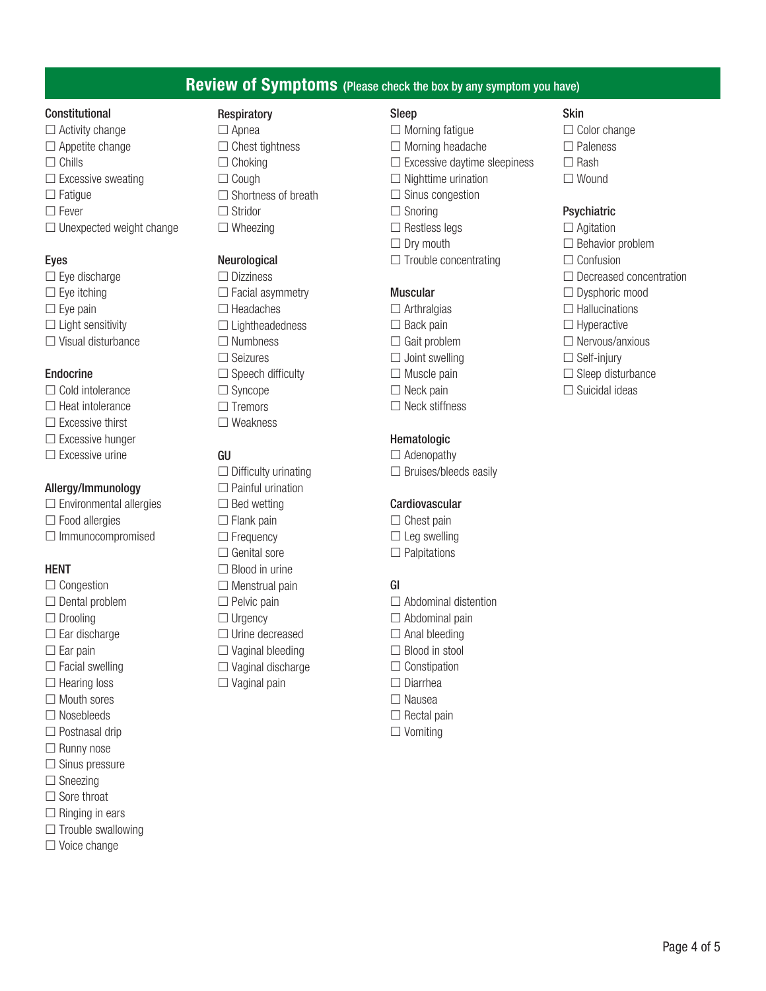## **Review of Symptoms (**Please check the box by any symptom you have)

#### Constitutional

- $\Box$  Activity change  $\Box$  Appetite change  $\Box$  Chills  $\square$  Excessive sweating  $\Box$  Fatique
- $\square$  Fever
- $\Box$  Unexpected weight change

#### Eyes

- $\square$  Eye discharge  $\square$  Eye itching  $\square$  Eye pain  $\Box$  Light sensitivity
- $\Box$  Visual disturbance

#### Endocrine

- $\Box$  Cold intolerance
- $\Box$  Heat intolerance  $\square$  Excessive thirst
- $\square$  Excessive hunger
- $\square$  Excessive urine

#### Allergy/Immunology

- $\square$  Environmental allergies
- $\Box$  Food allergies
- $\Box$  Immunocompromised

#### HENT

- $\square$  Congestion  $\Box$  Dental problem
- $\Box$  Drooling
- $\square$  Ear discharge
- $\square$  Ear pain
- $\Box$  Facial swelling
- $\Box$  Hearing loss
- $\Box$  Mouth sores
- $\Box$  Nosebleeds
- $\Box$  Postnasal drip
- $\Box$  Runny nose
- $\square$  Sinus pressure
- $\Box$  Sneezing
- $\Box$  Sore throat
- $\Box$  Ringing in ears
- $\Box$  Trouble swallowing
- $\square$  Voice change

### **Respiratory**

 $\Box$  Apnea  $\Box$  Chest tightness  $\Box$  Choking  $\Box$  Cough  $\Box$  Shortness of breath  $\Box$  Stridor  $\Box$  Wheezing

#### Neurological

□ Dizziness  $\Box$  Facial asymmetry  $\Box$  Headaches  $\Box$  Lightheadedness  $\Box$  Numbness Seizures  $\Box$  Speech difficulty □ Syncope  $\Box$  Tremors Weakness

# GU

 $\Box$  Difficulty urinating  $\Box$  Painful urination  $\square$  Bed wetting  $\Box$  Flank pain  $\Box$  Frequency Genital sore  $\Box$  Blood in urine  $\Box$  Menstrual pain  $\Box$  Pelvic pain  $\Box$  Urgency  $\Box$  Urine decreased  $\square$  Vaginal bleeding  $\Box$  Vaginal discharge  $\Box$  Vaginal pain

# Sleep

- $\Box$  Morning fatigue
- $\Box$  Morning headache
- $\square$  Excessive daytime sleepiness
- $\Box$  Nighttime urination
- $\Box$  Sinus congestion
- $\Box$  Snoring
- $\Box$  Restless legs
- $\Box$  Dry mouth
- $\Box$  Trouble concentrating

## Muscular

- $\Box$  Arthralgias
- $\Box$  Back pain
- $\Box$  Gait problem
- $\Box$  Joint swelling
- $\Box$  Muscle pain
- $\Box$  Neck pain
- $\Box$  Neck stiffness

## Hematologic

 $\Box$  Adenopathy  $\square$  Bruises/bleeds easily

## Cardiovascular

- $\Box$  Chest pain
- $\square$  Leg swelling  $\Box$  Palpitations

# GI

- $\Box$  Abdominal distention
- $\Box$  Abdominal pain
- $\Box$  Anal bleeding
- $\Box$  Blood in stool
- $\Box$  Constipation
- □ Diarrhea
- $\square$  Nausea
- $\Box$  Rectal pain
- $\Box$  Vomiting

### Skin

- $\Box$  Color change
- $\square$  Paleness
- $\Box$  Rash
- □ Wound

### **Psychiatric**

- $\Box$  Agitation
- $\Box$  Behavior problem
- $\Box$  Confusion
- $\Box$  Decreased concentration
- $\Box$  Dysphoric mood
- $\Box$  Hallucinations
- $\Box$  Hyperactive
- $\Box$  Nervous/anxious
- $\Box$  Self-injury
- $\Box$  Sleep disturbance
- $\Box$  Suicidal ideas